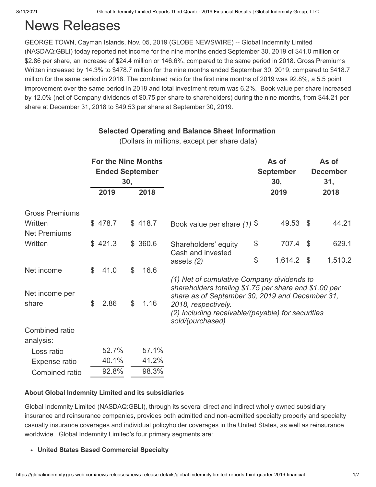# News Releases

GEORGE TOWN, Cayman Islands, Nov. 05, 2019 (GLOBE NEWSWIRE) -- Global Indemnity Limited (NASDAQ:GBLI) today reported net income for the nine months ended September 30, 2019 of \$41.0 million or \$2.86 per share, an increase of \$24.4 million or 146.6%, compared to the same period in 2018. Gross Premiums Written increased by 14.3% to \$478.7 million for the nine months ended September 30, 2019, compared to \$418.7 million for the same period in 2018. The combined ratio for the first nine months of 2019 was 92.8%, a 5.5 point improvement over the same period in 2018 and total investment return was 6.2%. Book value per share increased by 12.0% (net of Company dividends of \$0.75 per share to shareholders) during the nine months, from \$44.21 per share at December 31, 2018 to \$49.53 per share at September 30, 2019.

# **Selected Operating and Balance Sheet Information**

(Dollars in millions, except per share data)

|                                | <b>For the Nine Months</b><br><b>Ended September</b><br>30, |         |    |         | As of<br><b>September</b><br>30,                                                                                                                                                                                                                       | As of<br><b>December</b><br>31, |         |
|--------------------------------|-------------------------------------------------------------|---------|----|---------|--------------------------------------------------------------------------------------------------------------------------------------------------------------------------------------------------------------------------------------------------------|---------------------------------|---------|
|                                |                                                             | 2019    |    | 2018    |                                                                                                                                                                                                                                                        | 2019                            | 2018    |
| <b>Gross Premiums</b>          |                                                             |         |    |         |                                                                                                                                                                                                                                                        |                                 |         |
| Written<br><b>Net Premiums</b> |                                                             | \$478.7 |    | \$418.7 | Book value per share $(1)$ \$                                                                                                                                                                                                                          | 49.53 \$                        | 44.21   |
| Written                        |                                                             | \$421.3 |    | \$360.6 | Shareholders' equity<br>Cash and invested                                                                                                                                                                                                              | \$<br>707.4 \$                  | 629.1   |
| Net income                     | \$                                                          | 41.0    | \$ | 16.6    | assets $(2)$                                                                                                                                                                                                                                           | \$<br>$1,614.2$ \$              | 1,510.2 |
| Net income per<br>share        | \$                                                          | 2.86    | \$ | 1.16    | (1) Net of cumulative Company dividends to<br>shareholders totaling \$1.75 per share and \$1.00 per<br>share as of September 30, 2019 and December 31,<br>2018, respectively.<br>(2) Including receivable/(payable) for securities<br>sold/(purchased) |                                 |         |
| Combined ratio<br>analysis:    |                                                             |         |    |         |                                                                                                                                                                                                                                                        |                                 |         |
| Loss ratio                     |                                                             | 52.7%   |    | 57.1%   |                                                                                                                                                                                                                                                        |                                 |         |
| Expense ratio                  |                                                             | 40.1%   |    | 41.2%   |                                                                                                                                                                                                                                                        |                                 |         |
| Combined ratio                 |                                                             | 92.8%   |    | 98.3%   |                                                                                                                                                                                                                                                        |                                 |         |

#### **About Global Indemnity Limited and its subsidiaries**

Global Indemnity Limited (NASDAQ:GBLI), through its several direct and indirect wholly owned subsidiary insurance and reinsurance companies, provides both admitted and non-admitted specialty property and specialty casualty insurance coverages and individual policyholder coverages in the United States, as well as reinsurance worldwide. Global Indemnity Limited's four primary segments are:

**United States Based Commercial Specialty**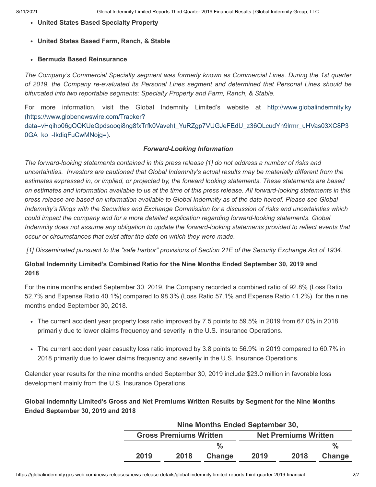- **United States Based Specialty Property**
- **United States Based Farm, Ranch, & Stable**
- **Bermuda Based Reinsurance**

*The Company's Commercial Specialty segment was formerly known as Commercial Lines. During the 1st quarter of 2019, the Company re-evaluated its Personal Lines segment and determined that Personal Lines should be bifurcated into two reportable segments: Specialty Property and Farm, Ranch, & Stable.*

For more information, visit the Global Indemnity Limited's website at http://www.globalindemnity.ky (https://www.globenewswire.com/Tracker? [data=vHqiho06gOQKUeGpdsooqi8ng8fxTrfk0Vaveht\\_YuRZgp7VUGJeFEdU\\_z36QLcudYn9lrmr\\_uHVas03XC8P3](https://www.globenewswire.com/Tracker?data=vHqiho06gOQKUeGpdsooqi8ng8fxTrfk0Vaveht_YuRZgp7VUGJeFEdU_z36QLcudYn9lrmr_uHVas03XC8P30GA_ko_-IkdiqFuCwMNojg=) 0GA\_ko\_-IkdiqFuCwMNojg=).

#### *Forward-Looking Information*

*The forward-looking statements contained in this press release [1] do not address a number of risks and uncertainties. Investors are cautioned that Global Indemnity's actual results may be materially different from the estimates expressed in, or implied, or projected by, the forward looking statements. These statements are based on estimates and information available to us at the time of this press release. All forward-looking statements in this press release are based on information available to Global Indemnity as of the date hereof. Please see Global Indemnity's filings with the Securities and Exchange Commission for a discussion of risks and uncertainties which could impact the company and for a more detailed explication regarding forward-looking statements. Global Indemnity does not assume any obligation to update the forward-looking statements provided to reflect events that occur or circumstances that exist after the date on which they were made.* 

*[1] Disseminated pursuant to the "safe harbor" provisions of Section 21E of the Security Exchange Act of 1934.*

#### **Global Indemnity Limited's Combined Ratio for the Nine Months Ended September 30, 2019 and 2018**

For the nine months ended September 30, 2019, the Company recorded a combined ratio of 92.8% (Loss Ratio 52.7% and Expense Ratio 40.1%) compared to 98.3% (Loss Ratio 57.1% and Expense Ratio 41.2%) for the nine months ended September 30, 2018.

- The current accident year property loss ratio improved by 7.5 points to 59.5% in 2019 from 67.0% in 2018 primarily due to lower claims frequency and severity in the U.S. Insurance Operations.
- The current accident year casualty loss ratio improved by 3.8 points to 56.9% in 2019 compared to 60.7% in 2018 primarily due to lower claims frequency and severity in the U.S. Insurance Operations.

Calendar year results for the nine months ended September 30, 2019 include \$23.0 million in favorable loss development mainly from the U.S. Insurance Operations.

**Global Indemnity Limited's Gross and Net Premiums Written Results by Segment for the Nine Months Ended September 30, 2019 and 2018**

| Nine Months Ended September 30, |                               |        |                             |      |               |  |  |  |  |
|---------------------------------|-------------------------------|--------|-----------------------------|------|---------------|--|--|--|--|
|                                 | <b>Gross Premiums Written</b> |        | <b>Net Premiums Written</b> |      |               |  |  |  |  |
|                                 |                               | %      |                             |      | $\frac{0}{2}$ |  |  |  |  |
| 2019                            | 2018                          | Change | 2019                        | 2018 | Change        |  |  |  |  |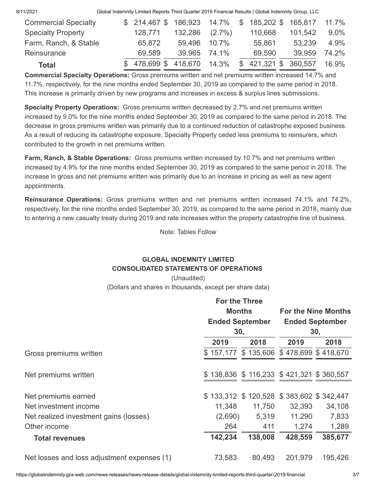| 8/11/2021                   | Global Indemnity Limited Reports Third Quarter 2019 Financial Results   Global Indemnity Group, LLC |         |           |               |            |         |          |
|-----------------------------|-----------------------------------------------------------------------------------------------------|---------|-----------|---------------|------------|---------|----------|
| <b>Commercial Specialty</b> | \$214,467                                                                                           | 186,923 | 14.7%     | $\mathcal{L}$ | 185,202 \$ | 165,817 | $11.7\%$ |
| <b>Specialty Property</b>   | 128.771                                                                                             | 132,286 | $(2.7\%)$ |               | 110,668    | 101,542 | $9.0\%$  |
| Farm, Ranch, & Stable       | 65,872                                                                                              | 59.496  | 10.7%     |               | 55,861     | 53,239  | 4.9%     |
| Reinsurance                 | 69.589                                                                                              | 39.965  | 74.1%     |               | 69,590     | 39,959  | 74.2%    |
| <b>Total</b>                | 478,699 \$                                                                                          | 418,670 | 14.3%     | \$            | 421,321 \$ | 360,557 | 16.9%    |

**Commercial Specialty Operations:** Gross premiums written and net premiums written increased 14.7% and 11.7%, respectively, for the nine months ended September 30, 2019 as compared to the same period in 2018. This increase is primarily driven by new programs and increases in excess & surplus lines submissions.

**Specialty Property Operations:** Gross premiums written decreased by 2.7% and net premiums written increased by 9.0% for the nine months ended September 30, 2019 as compared to the same period in 2018. The decrease in gross premiums written was primarily due to a continued reduction of catastrophe exposed business. As a result of reducing its catastrophe exposure, Specialty Property ceded less premiums to reinsurers, which contributed to the growth in net premiums written.

**Farm, Ranch, & Stable Operations:** Gross premiums written increased by 10.7% and net premiums written increased by 4.9% for the nine months ended September 30, 2019 as compared to the same period in 2018. The increase in gross and net premiums written was primarily due to an increase in pricing as well as new agent appointments.

**Reinsurance Operations:** Gross premiums written and net premiums written increased 74.1% and 74.2%, respectively, for the nine months ended September 30, 2019, as compared to the same period in 2018, mainly due to entering a new casualty treaty during 2019 and rate increases within the property catastrophe line of business.

Note: Tables Follow

#### **GLOBAL INDEMNITY LIMITED CONSOLIDATED STATEMENTS OF OPERATIONS**

(Unaudited) (Dollars and shares in thousands, except per share data)

|                                             | <b>For the Three</b>   |         |                                                      |         |  |  |
|---------------------------------------------|------------------------|---------|------------------------------------------------------|---------|--|--|
|                                             | <b>Months</b>          |         | <b>For the Nine Months</b><br><b>Ended September</b> |         |  |  |
|                                             | <b>Ended September</b> |         |                                                      |         |  |  |
|                                             | 30,                    |         | 30,                                                  |         |  |  |
|                                             | 2019                   | 2018    | 2019                                                 | 2018    |  |  |
| Gross premiums written                      |                        |         | \$157,177 \$135,606 \$478,699 \$418,670              |         |  |  |
| Net premiums written                        |                        |         | \$138,836 \$116,233 \$421,321 \$360,557              |         |  |  |
|                                             |                        |         |                                                      |         |  |  |
| Net premiums earned                         |                        |         | \$133,312 \$120,528 \$383,602 \$342,447              |         |  |  |
| Net investment income                       | 11,348                 | 11,750  | 32,393                                               | 34,108  |  |  |
| Net realized investment gains (losses)      | (2,690)                | 5,319   | 11,290                                               | 7,833   |  |  |
| Other income                                | 264                    | 411     | 1,274                                                | 1,289   |  |  |
| <b>Total revenues</b>                       | 142,234                | 138,008 | 428,559                                              | 385,677 |  |  |
| Net losses and loss adjustment expenses (1) | 73,583                 | 80,493  | 201,979                                              | 195,426 |  |  |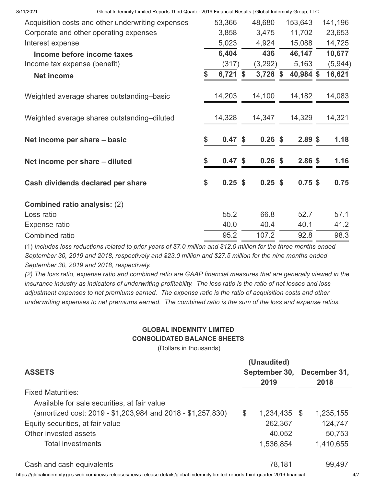8/11/2021 Global Indemnity Limited Reports Third Quarter 2019 Financial Results | Global Indemnity Group, LLC

| Acquisition costs and other underwriting expenses | 53,366          |              | 48,680    |                           | 153,643   | 141,196 |
|---------------------------------------------------|-----------------|--------------|-----------|---------------------------|-----------|---------|
| Corporate and other operating expenses            | 3,858           |              | 3,475     |                           | 11,702    | 23,653  |
| Interest expense                                  | 5,023           |              | 4,924     |                           | 15,088    | 14,725  |
| Income before income taxes                        | 6,404           |              | 436       |                           | 46,147    | 10,677  |
| Income tax expense (benefit)                      | (317)           |              | (3,292)   |                           | 5,163     | (5,944) |
| <b>Net income</b>                                 | 6,721           | $\mathbf{s}$ | 3,728     | $\boldsymbol{\mathsf{s}}$ | 40,984 \$ | 16,621  |
| Weighted average shares outstanding-basic         | 14,203          |              | 14,100    |                           | 14,182    | 14,083  |
| Weighted average shares outstanding-diluted       | 14,328          |              | 14,347    |                           | 14,329    | 14,321  |
| Net income per share - basic                      | \$<br>0.47      | \$           | $0.26$ \$ |                           | $2.89$ \$ | 1.18    |
| Net income per share - diluted                    | \$<br>0.47      | \$           | $0.26$ \$ |                           | $2.86$ \$ | 1.16    |
| Cash dividends declared per share                 | \$<br>$0.25$ \$ |              | $0.25$ \$ |                           | $0.75$ \$ | 0.75    |
| <b>Combined ratio analysis: (2)</b>               |                 |              |           |                           |           |         |
| Loss ratio                                        | 55.2            |              | 66.8      |                           | 52.7      | 57.1    |
| Expense ratio                                     | 40.0            |              | 40.4      |                           | 40.1      | 41.2    |
| Combined ratio                                    | 95.2            |              | 107.2     |                           | 92.8      | 98.3    |

(1) *Includes loss reductions related to prior years of \$7.0 million and \$12.0 million for the three months ended September 30, 2019 and 2018, respectively and \$23.0 million and \$27.5 million for the nine months ended September 30, 2019 and 2018, respectively.*

*(2) The loss ratio, expense ratio and combined ratio are GAAP financial measures that are generally viewed in the insurance industry as indicators of underwriting profitability. The loss ratio is the ratio of net losses and loss adjustment expenses to net premiums earned. The expense ratio is the ratio of acquisition costs and other underwriting expenses to net premiums earned. The combined ratio is the sum of the loss and expense ratios.*

## **GLOBAL INDEMNITY LIMITED CONSOLIDATED BALANCE SHEETS**

(Dollars in thousands)

| <b>ASSETS</b>                                               | (Unaudited)<br>September 30,<br>2019 | December 31,<br>2018 |  |  |
|-------------------------------------------------------------|--------------------------------------|----------------------|--|--|
| <b>Fixed Maturities:</b>                                    |                                      |                      |  |  |
| Available for sale securities, at fair value                |                                      |                      |  |  |
| (amortized cost: 2019 - \$1,203,984 and 2018 - \$1,257,830) | \$<br>1,234,435 \$                   | 1,235,155            |  |  |
| Equity securities, at fair value                            | 262,367                              | 124,747              |  |  |
| Other invested assets                                       | 40,052                               | 50,753               |  |  |
| <b>Total investments</b>                                    | 1,536,854                            | 1,410,655            |  |  |
|                                                             |                                      |                      |  |  |
| Cash and cash equivalents                                   | 78,181                               | 99,497               |  |  |

https://globalindemnity.gcs-web.com/news-releases/news-release-details/global-indemnity-limited-reports-third-quarter-2019-financial 4/7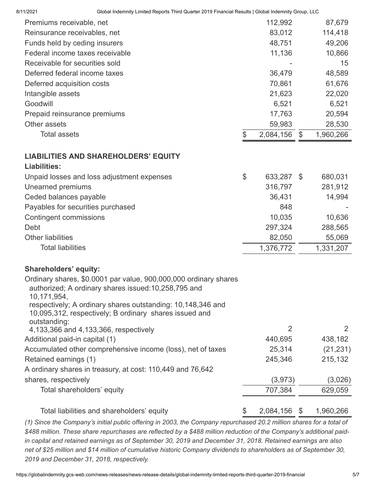| 8/11/2021                | Global Indemnity Limited Reports Third Quarter 2019 Financial Results   Global Indemnity Group, LLC |                    |               |
|--------------------------|-----------------------------------------------------------------------------------------------------|--------------------|---------------|
|                          | Premiums receivable, net                                                                            | 112,992            | 87,679        |
|                          | Reinsurance receivables, net                                                                        | 83,012             | 114,418       |
|                          | Funds held by ceding insurers                                                                       | 48,751             | 49,206        |
|                          | Federal income taxes receivable                                                                     | 11,136             | 10,866        |
|                          | Receivable for securities sold                                                                      |                    | 15            |
|                          | Deferred federal income taxes                                                                       | 36,479             | 48,589        |
|                          | Deferred acquisition costs                                                                          | 70,861             | 61,676        |
| Intangible assets        |                                                                                                     | 21,623             | 22,020        |
| Goodwill                 |                                                                                                     | 6,521              | 6,521         |
|                          | Prepaid reinsurance premiums                                                                        | 17,763             | 20,594        |
| Other assets             |                                                                                                     | 59,983             | 28,530        |
| <b>Total assets</b>      |                                                                                                     | \$<br>2,084,156 \$ | 1,960,266     |
|                          | <b>LIABILITIES AND SHAREHOLDERS' EQUITY</b>                                                         |                    |               |
| <b>Liabilities:</b>      |                                                                                                     |                    |               |
|                          | Unpaid losses and loss adjustment expenses                                                          | \$<br>633,287      | \$<br>680,031 |
| <b>Unearned premiums</b> |                                                                                                     | 316,797            | 281,912       |
| Ceded balances payable   |                                                                                                     | 36,431             | 14,994        |
|                          | Payables for securities purchased                                                                   | 848                |               |
| Contingent commissions   |                                                                                                     | 10,035             | 10,636        |
| Debt                     |                                                                                                     | 297,324            | 288,565       |
| <b>Other liabilities</b> |                                                                                                     | 82,050             | 55,069        |
| <b>Total liabilities</b> |                                                                                                     | 1,376,772          | 1,331,207     |
|                          |                                                                                                     |                    |               |

### **Shareholders' equity:**

| Ordinary shares, \$0.0001 par value, 900,000,000 ordinary shares<br>authorized; A ordinary shares issued: 10, 258, 795 and<br>10,171,954, |         |           |
|-------------------------------------------------------------------------------------------------------------------------------------------|---------|-----------|
| respectively; A ordinary shares outstanding: 10,148,346 and                                                                               |         |           |
| 10,095,312, respectively; B ordinary shares issued and<br>outstanding:                                                                    |         |           |
| 4,133,366 and 4,133,366, respectively                                                                                                     | 2       | 2         |
| Additional paid-in capital (1)                                                                                                            | 440,695 | 438,182   |
| Accumulated other comprehensive income (loss), net of taxes                                                                               | 25,314  | (21, 231) |
| Retained earnings (1)                                                                                                                     | 245,346 | 215,132   |
| A ordinary shares in treasury, at cost: 110,449 and 76,642                                                                                |         |           |
| shares, respectively                                                                                                                      | (3,973) | (3,026)   |
| Total shareholders' equity                                                                                                                | 707,384 | 629,059   |
|                                                                                                                                           |         |           |

Total liabilities and shareholders' equity  $$ 2,084,156 $ 1,960,266$ *(1) Since the Company's initial public offering in 2003, the Company repurchased 20.2 million shares for a total of \$488 million. These share repurchases are reflected by a \$488 million reduction of the Company's additional paidin capital and retained earnings as of September 30, 2019 and December 31, 2018. Retained earnings are also net of \$25 million and \$14 million of cumulative historic Company dividends to shareholders as of September 30, 2019 and December 31, 2018, respectively.*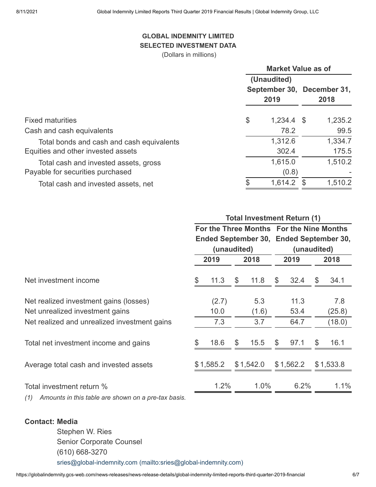#### **GLOBAL INDEMNITY LIMITED SELECTED INVESTMENT DATA**

(Dollars in millions)

|                                           | <b>Market Value as of</b>          |              |  |         |  |  |  |
|-------------------------------------------|------------------------------------|--------------|--|---------|--|--|--|
|                                           | (Unaudited)                        |              |  |         |  |  |  |
|                                           | September 30, December 31,<br>2019 |              |  |         |  |  |  |
|                                           |                                    |              |  | 2018    |  |  |  |
| <b>Fixed maturities</b>                   | \$                                 | $1,234.4$ \$ |  | 1,235.2 |  |  |  |
| Cash and cash equivalents                 |                                    | 78.2         |  | 99.5    |  |  |  |
| Total bonds and cash and cash equivalents |                                    | 1,312.6      |  | 1,334.7 |  |  |  |
| Equities and other invested assets        |                                    | 302.4        |  | 175.5   |  |  |  |
| Total cash and invested assets, gross     |                                    | 1,615.0      |  | 1,510.2 |  |  |  |
| Payable for securities purchased          |                                    | (0.8)        |  |         |  |  |  |
| Total cash and invested assets, net       | \$                                 | 1,614.2      |  | 1,510.2 |  |  |  |

|                                                                       | <b>Total Investment Return (1)</b>       |             |      |           |                                         |           |               |           |  |  |  |
|-----------------------------------------------------------------------|------------------------------------------|-------------|------|-----------|-----------------------------------------|-----------|---------------|-----------|--|--|--|
|                                                                       | For the Three Months For the Nine Months |             |      |           | Ended September 30, Ended September 30, |           |               |           |  |  |  |
|                                                                       |                                          | (unaudited) |      |           | (unaudited)                             |           |               |           |  |  |  |
|                                                                       | 2019                                     |             | 2018 |           | 2019                                    |           |               | 2018      |  |  |  |
| Net investment income                                                 | \$                                       | 11.3        | \$   | 11.8      | \$                                      | 32.4      | $\mathcal{L}$ | 34.1      |  |  |  |
| Net realized investment gains (losses)                                |                                          | (2.7)       |      | 5.3       |                                         | 11.3      |               | 7.8       |  |  |  |
| Net unrealized investment gains                                       |                                          | 10.0        |      | (1.6)     |                                         | 53.4      |               | (25.8)    |  |  |  |
| Net realized and unrealized investment gains                          |                                          | 7.3         |      | 3.7       |                                         | 64.7      |               | (18.0)    |  |  |  |
| Total net investment income and gains                                 |                                          | 18.6        | \$   | 15.5      | \$.                                     | 97.1      | \$            | 16.1      |  |  |  |
| Average total cash and invested assets                                |                                          | \$1,585.2   |      | \$1,542.0 |                                         | \$1,562.2 |               | \$1,533.8 |  |  |  |
| Total investment return %<br>(d) American to this toble sure shown an |                                          | 1.2%        |      | 1.0%      |                                         | 6.2%      |               | 1.1%      |  |  |  |

*(1) Amounts in this table are shown on a pre-tax basis.*

# **Contact: Media** Stephen W. Ries Senior Corporate Counsel (610) 668-3270 [sries@global-indemnity.com \(mailto:sries@global-indemnity.com\)](mailto:sries@global-indemnity.com)